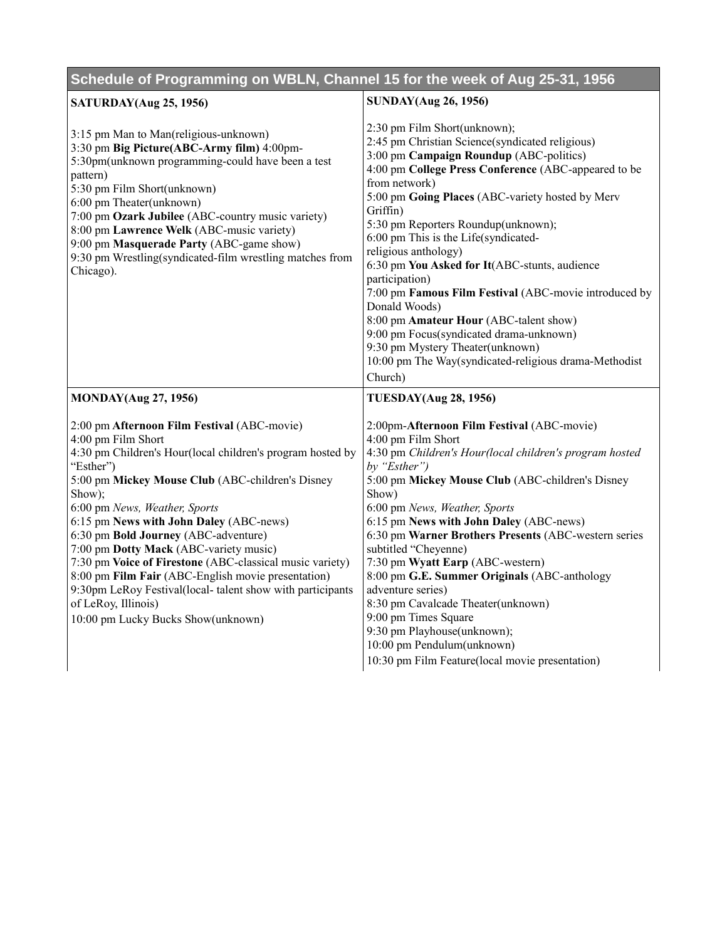| Schedule of Programming on WBLN, Channel 15 for the week of Aug 25-31, 1956                                                                                                                                                                                                                                                                                                                                                                                                                                                                                                                                          |                                                                                                                                                                                                                                                                                                                                                                                                                                                                                                                                                                                                                                                                                                                      |
|----------------------------------------------------------------------------------------------------------------------------------------------------------------------------------------------------------------------------------------------------------------------------------------------------------------------------------------------------------------------------------------------------------------------------------------------------------------------------------------------------------------------------------------------------------------------------------------------------------------------|----------------------------------------------------------------------------------------------------------------------------------------------------------------------------------------------------------------------------------------------------------------------------------------------------------------------------------------------------------------------------------------------------------------------------------------------------------------------------------------------------------------------------------------------------------------------------------------------------------------------------------------------------------------------------------------------------------------------|
| <b>SATURDAY</b> (Aug 25, 1956)                                                                                                                                                                                                                                                                                                                                                                                                                                                                                                                                                                                       | <b>SUNDAY(Aug 26, 1956)</b>                                                                                                                                                                                                                                                                                                                                                                                                                                                                                                                                                                                                                                                                                          |
| 3:15 pm Man to Man(religious-unknown)<br>3:30 pm Big Picture(ABC-Army film) 4:00pm-<br>5:30pm(unknown programming-could have been a test<br>pattern)<br>5:30 pm Film Short(unknown)<br>6:00 pm Theater(unknown)<br>7:00 pm Ozark Jubilee (ABC-country music variety)<br>8:00 pm Lawrence Welk (ABC-music variety)<br>9:00 pm Masquerade Party (ABC-game show)<br>9:30 pm Wrestling(syndicated-film wrestling matches from<br>Chicago).                                                                                                                                                                               | 2:30 pm Film Short(unknown);<br>2:45 pm Christian Science(syndicated religious)<br>3:00 pm Campaign Roundup (ABC-politics)<br>4:00 pm College Press Conference (ABC-appeared to be<br>from network)<br>5:00 pm Going Places (ABC-variety hosted by Merv<br>Griffin)<br>5:30 pm Reporters Roundup(unknown);<br>6:00 pm This is the Life(syndicated-<br>religious anthology)<br>6:30 pm You Asked for It(ABC-stunts, audience<br>participation)<br>7:00 pm Famous Film Festival (ABC-movie introduced by<br>Donald Woods)<br>8:00 pm Amateur Hour (ABC-talent show)<br>9:00 pm Focus(syndicated drama-unknown)<br>9:30 pm Mystery Theater(unknown)<br>10:00 pm The Way(syndicated-religious drama-Methodist<br>Church) |
| <b>MONDAY</b> (Aug 27, 1956)                                                                                                                                                                                                                                                                                                                                                                                                                                                                                                                                                                                         | <b>TUESDAY(Aug 28, 1956)</b>                                                                                                                                                                                                                                                                                                                                                                                                                                                                                                                                                                                                                                                                                         |
| 2:00 pm Afternoon Film Festival (ABC-movie)<br>4:00 pm Film Short<br>4:30 pm Children's Hour(local children's program hosted by<br>"Esther")<br>5:00 pm Mickey Mouse Club (ABC-children's Disney<br>Show);<br>6:00 pm News, Weather, Sports<br>6:15 pm News with John Daley (ABC-news)<br>6:30 pm Bold Journey (ABC-adventure)<br>7:00 pm Dotty Mack (ABC-variety music)<br>7:30 pm Voice of Firestone (ABC-classical music variety)<br>8:00 pm Film Fair (ABC-English movie presentation)<br>9:30pm LeRoy Festival(local-talent show with participants<br>of LeRoy, Illinois)<br>10:00 pm Lucky Bucks Show(unknown) | 2:00pm-Afternoon Film Festival (ABC-movie)<br>4:00 pm Film Short<br>4:30 pm Children's Hour(local children's program hosted<br>by " $Esther$ ")<br>5:00 pm Mickey Mouse Club (ABC-children's Disney<br>Show)<br>6:00 pm News, Weather, Sports<br>6:15 pm News with John Daley (ABC-news)<br>6:30 pm Warner Brothers Presents (ABC-western series<br>subtitled "Cheyenne)<br>7:30 pm Wyatt Earp (ABC-western)<br>8:00 pm G.E. Summer Originals (ABC-anthology<br>adventure series)<br>8:30 pm Cavalcade Theater(unknown)<br>9:00 pm Times Square<br>9:30 pm Playhouse(unknown);<br>10:00 pm Pendulum(unknown)<br>10:30 pm Film Feature(local movie presentation)                                                      |